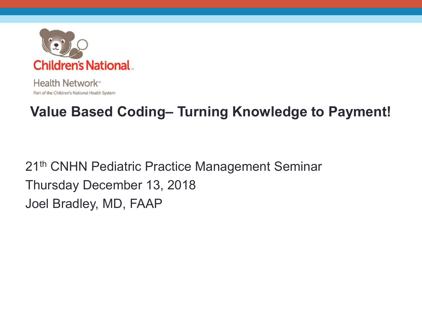

Health Network<sup>®</sup> Part of the Children's National Health System

### **Value Based Coding– Turning Knowledge to Payment!**

21<sup>th</sup> CNHN Pediatric Practice Management Seminar Thursday December 13, 2018 Joel Bradley, MD, FAAP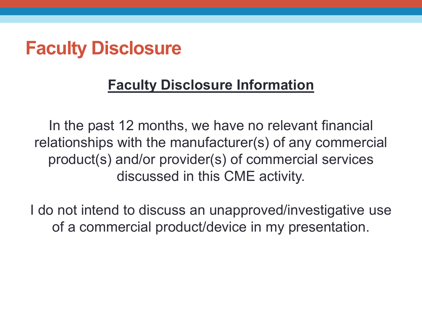### **Faculty Disclosure**

### **Faculty Disclosure Information**

In the past 12 months, we have no relevant financial relationships with the manufacturer(s) of any commercial product(s) and/or provider(s) of commercial services discussed in this CME activity.

I do not intend to discuss an unapproved/investigative use of a commercial product/device in my presentation.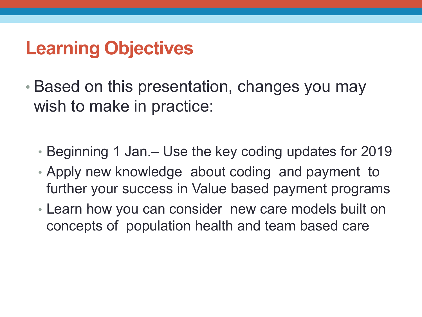## **Learning Objectives**

- Based on this presentation, changes you may wish to make in practice:
	- Beginning 1 Jan.– Use the key coding updates for 2019
	- Apply new knowledge about coding and payment to further your success in Value based payment programs
	- Learn how you can consider new care models built on concepts of population health and team based care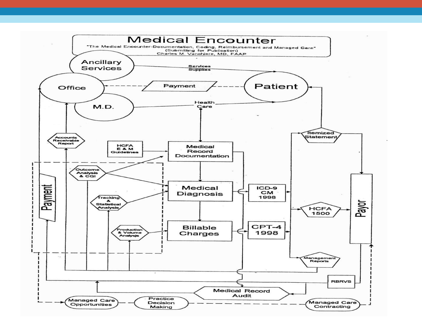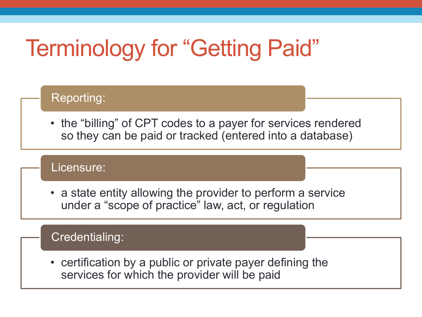# Terminology for "Getting Paid"

### Reporting:

• the "billing" of CPT codes to a payer for services rendered so they can be paid or tracked (entered into a database)

#### Licensure:

• a state entity allowing the provider to perform a service under a "scope of practice" law, act, or regulation

#### Credentialing:

• certification by a public or private payer defining the services for which the provider will be paid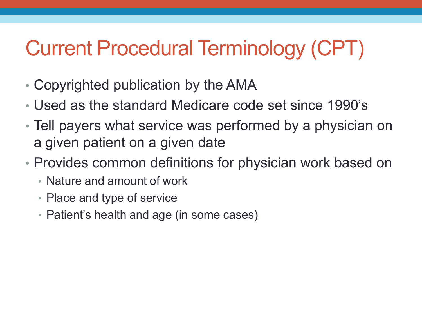# Current Procedural Terminology (CPT)

- Copyrighted publication by the AMA
- Used as the standard Medicare code set since 1990's
- Tell payers what service was performed by a physician on a given patient on a given date
- Provides common definitions for physician work based on
	- Nature and amount of work
	- Place and type of service
	- Patient's health and age (in some cases)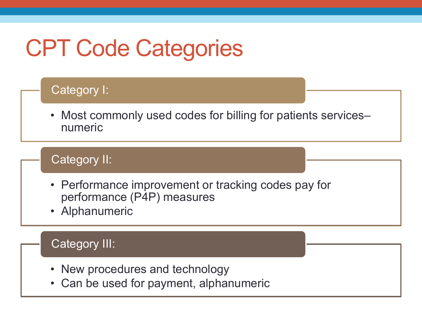# CPT Code Categories

#### Category I:

• Most commonly used codes for billing for patients servicesnumeric

#### Category II:

- Performance improvement or tracking codes pay for performance (P4P) measures
- Alphanumeric

#### Category III:

- New procedures and technology
- Can be used for payment, alphanumeric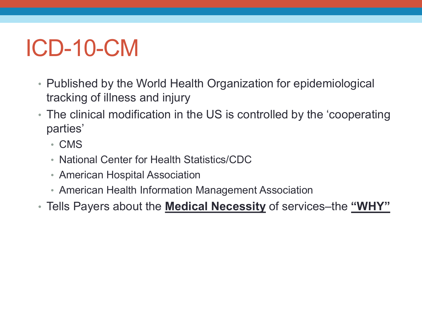# ICD-10-CM

- Published by the World Health Organization for epidemiological tracking of illness and injury
- The clinical modification in the US is controlled by the 'cooperating parties'
	- CMS
	- National Center for Health Statistics/CDC
	- American Hospital Association
	- American Health Information Management Association
- Tells Payers about the **Medical Necessity** of services–the **"WHY"**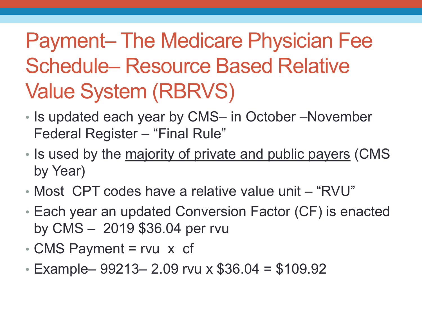# Payment– The Medicare Physician Fee Schedule– Resource Based Relative Value System (RBRVS)

- Is updated each year by CMS– in October –November Federal Register – "Final Rule"
- Is used by the majority of private and public payers (CMS by Year)
- Most CPT codes have a relative value unit "RVU"
- Each year an updated Conversion Factor (CF) is enacted by CMS – 2019 \$36.04 per rvu
- CMS Payment = rvu x cf
- Example–  $99213 2.09$  rvu x  $$36.04 = $109.92$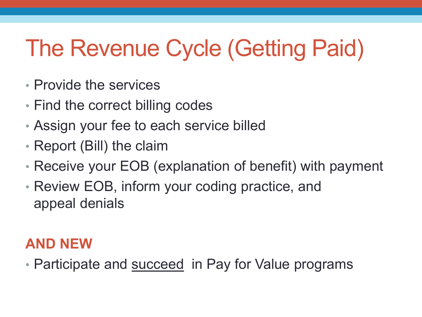# The Revenue Cycle (Getting Paid)

- Provide the services
- Find the correct billing codes
- Assign your fee to each service billed
- Report (Bill) the claim
- Receive your EOB (explanation of benefit) with payment
- Review EOB, inform your coding practice, and appeal denials

### **AND NEW**

• Participate and **succeed** in Pay for Value programs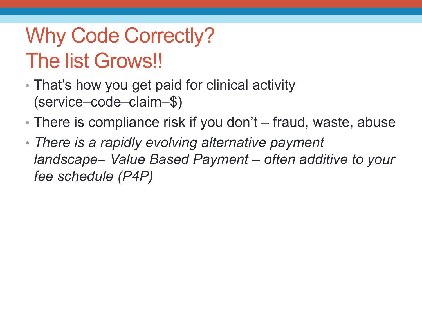# Why Code Correctly? The list Grows!!

- That's how you get paid for clinical activity (service–code–claim–\$)
- There is compliance risk if you don't fraud, waste, abuse
- *There is a rapidly evolving alternative payment landscape– Value Based Payment – often additive to your fee schedule (P4P)*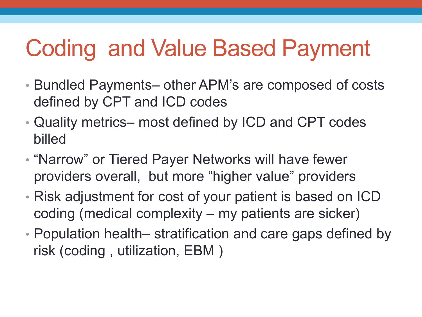# Coding and Value Based Payment

- Bundled Payments– other APM's are composed of costs defined by CPT and ICD codes
- Quality metrics– most defined by ICD and CPT codes billed
- "Narrow" or Tiered Payer Networks will have fewer providers overall, but more "higher value" providers
- Risk adjustment for cost of your patient is based on ICD coding (medical complexity – my patients are sicker)
- Population health– stratification and care gaps defined by risk (coding , utilization, EBM )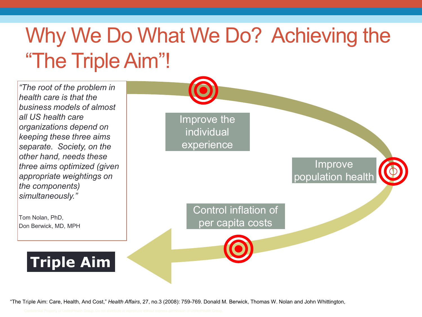# Why We Do What We Do? Achieving the "The Triple Aim"!

*"The root of the problem in health care is that the business models of almost all US health care organizations depend on keeping these three aims separate. Society, on the other hand, needs these three aims optimized (given appropriate weightings on the components) simultaneously."*

Tom Nolan, PhD, Don Berwick, MD, MPH Improve the individual experience Improve population health

Control inflation of per capita costs

**Triple Aim**

"The Triple Aim: Care, Health, And Cost," *Health Affairs*, 27, no.3 (2008): 759-769. Donald M. Berwick, Thomas W. Nolan and John Whittington, 13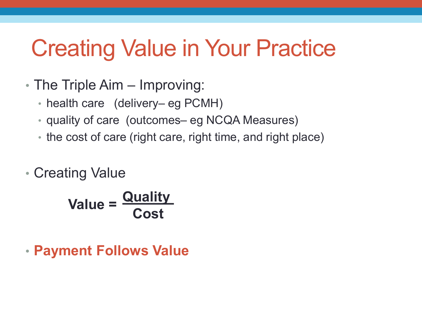# Creating Value in Your Practice

- The Triple Aim Improving:
	- health care (delivery– eg PCMH)
	- quality of care (outcomes– eg NCQA Measures)
	- the cost of care (right care, right time, and right place)
- Creating Value

**Value = Quality Cost**

• **Payment Follows Value**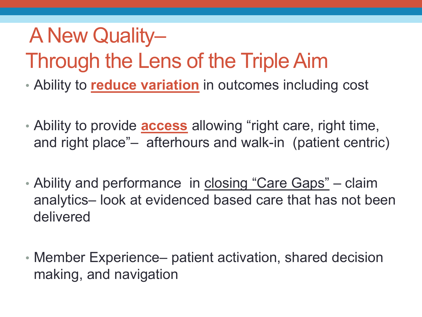# A New Quality– Through the Lens of the Triple Aim

- Ability to **reduce variation** in outcomes including cost
- Ability to provide **access** allowing "right care, right time, and right place"– afterhours and walk-in (patient centric)
- Ability and performance in closing "Care Gaps" claim analytics– look at evidenced based care that has not been delivered
- Member Experience– patient activation, shared decision making, and navigation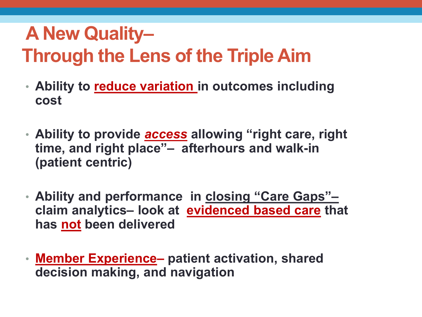# **A New Quality– Through the Lens of the Triple Aim**

- **Ability to reduce variation in outcomes including cost**
- **Ability to provide** *access* **allowing "right care, right time, and right place"– afterhours and walk-in (patient centric)**
- **Ability and performance in closing "Care Gaps"– claim analytics– look at evidenced based care that has not been delivered**
- **Member Experience– patient activation, shared decision making, and navigation**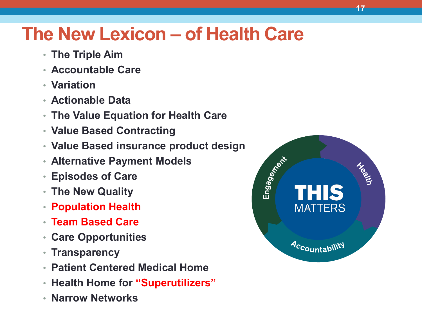## **The New Lexicon – of Health Care**

- **The Triple Aim**
- **Accountable Care**
- **Variation**
- **Actionable Data**
- **The Value Equation for Health Care**
- **Value Based Contracting**
- **Value Based insurance product design**
- **Alternative Payment Models**
- **Episodes of Care**
- **The New Quality**
- **Population Health**
- **Team Based Care**
- **Care Opportunities**
- **Transparency**
- **Patient Centered Medical Home**
- **Health Home for "Superutilizers"**
- **Narrow Networks**

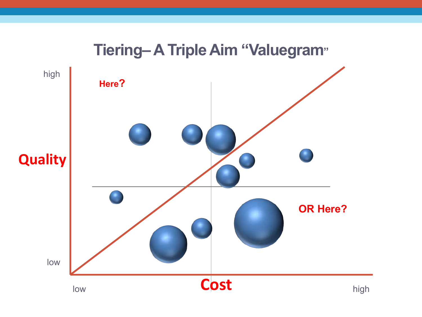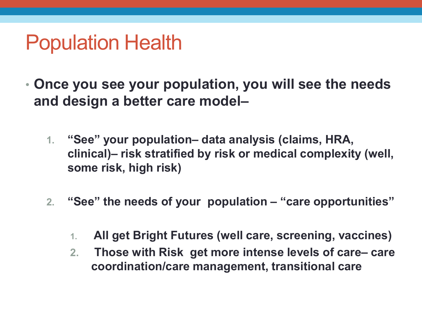# Population Health

- **Once you see your population, you will see the needs and design a better care model–**
	- **1. "See" your population– data analysis (claims, HRA, clinical)– risk stratified by risk or medical complexity (well, some risk, high risk)**
	- **2. "See" the needs of your population – "care opportunities"**
		- **1. All get Bright Futures (well care, screening, vaccines)**
		- **2. Those with Risk get more intense levels of care– care coordination/care management, transitional care**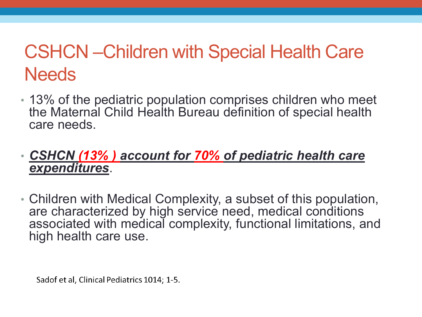# CSHCN –Children with Special Health Care **Needs**

• 13% of the pediatric population comprises children who meet the Maternal Child Health Bureau definition of special health care needs.

### • *CSHCN (13% ) account for 70% of pediatric health care expenditures*.

• Children with Medical Complexity, a subset of this population, are characterized by high service need, medical conditions associated with medical complexity, functional limitations, and high health care use.

Sadof et al, Clinical Pediatrics 1014; 1-5.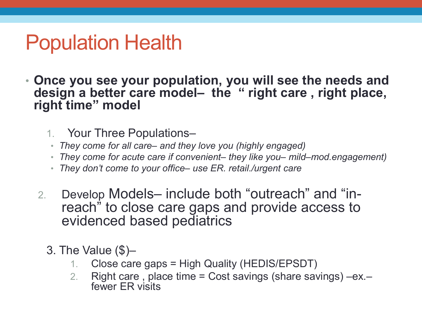# Population Health

- **Once you see your population, you will see the needs and design a better care model– the " right care , right place, right time" model**
	- 1. Your Three Populations–
	- *They come for all care– and they love you (highly engaged)*
	- *They come for acute care if convenient– they like you– mild–mod.engagement)*
	- *They don't come to your office– use ER. retail./urgent care*
	- 2. Develop Models– include both "outreach" and "in- reach" to close care gaps and provide access to evidenced based pediatrics
		- 3. The Value (\$)–
			- 1. Close care gaps = High Quality (HEDIS/EPSDT)
			- 2. Right care , place time = Cost savings (share savings) –ex.– fewer ER visits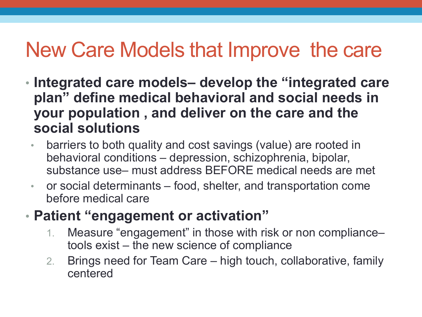# New Care Models that Improve the care

- **Integrated care models– develop the "integrated care plan" define medical behavioral and social needs in your population , and deliver on the care and the social solutions**
	- barriers to both quality and cost savings (value) are rooted in behavioral conditions – depression, schizophrenia, bipolar, substance use– must address BEFORE medical needs are met
	- or social determinants food, shelter, and transportation come before medical care
- **Patient "engagement or activation"**
	- 1. Measure "engagement" in those with risk or non compliance– tools exist – the new science of compliance
	- 2. Brings need for Team Care high touch, collaborative, family centered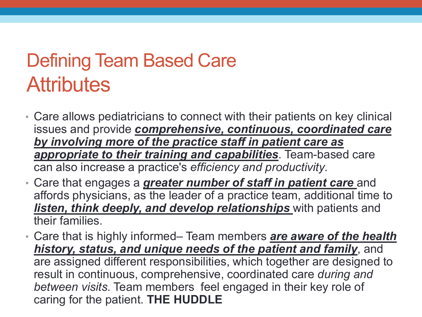# Defining Team Based Care **Attributes**

- Care allows pediatricians to connect with their patients on key clinical issues and provide *comprehensive, continuous, coordinated care by involving more of the practice staff in patient care as appropriate to their training and capabilities*. Team-based care can also increase a practice's *efficiency and productivity*.
- Care that engages a *greater number of staff in patient care* and affords physicians, as the leader of a practice team, additional time to *listen, think deeply, and develop relationships* with patients and their families.
- Care that is highly informed– Team members *are aware of the health history, status, and unique needs of the patient and family*, and are assigned different responsibilities, which together are designed to result in continuous, comprehensive, coordinated care *during and between visits*. Team members feel engaged in their key role of caring for the patient. **THE HUDDLE**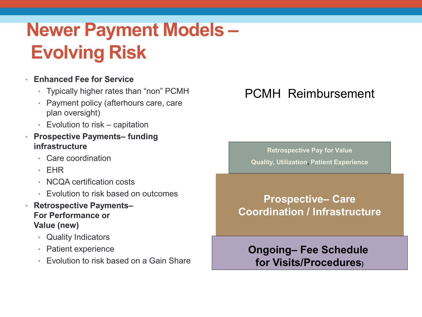# **Newer Payment Models – Evolving Risk**

#### • **Enhanced Fee for Service**

- Typically higher rates than "non" PCMH
- Payment policy (afterhours care, care plan oversight)
- Evolution to risk capitation
- **Prospective Payments– funding infrastructure**
	- Care coordination
	- EHR
	- NCQA certification costs
	- Evolution to risk based on outcomes
- **Retrospective Payments– For Performance or Value (new)**
	- Quality Indicators
	- Patient experience
	- Evolution to risk based on a Gain Share

### PCMH Reimbursement

**Retrospective Pay for Value Quality, Utilization, Patient Experience**

**Prospective– Care Coordination / Infrastructure**

**Ongoing– Fee Schedule for Visits/Procedures)**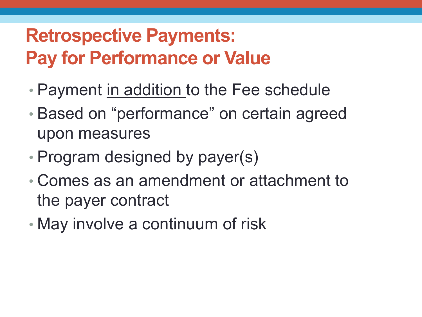# **Retrospective Payments: Pay for Performance or Value**

- Payment in addition to the Fee schedule
- Based on "performance" on certain agreed upon measures
- Program designed by payer(s)
- Comes as an amendment or attachment to the payer contract
- May involve a continuum of risk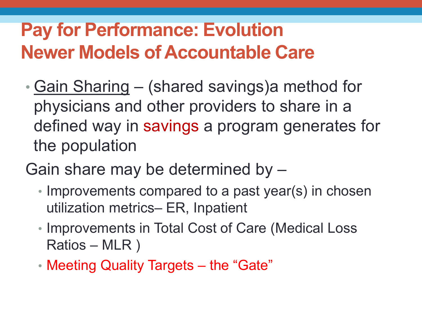## **Pay for Performance: Evolution Newer Models of Accountable Care**

- Gain Sharing (shared savings)a method for physicians and other providers to share in a defined way in savings a program generates for the population
- Gain share may be determined by
	- Improvements compared to a past year(s) in chosen utilization metrics– ER, Inpatient
	- Improvements in Total Cost of Care (Medical Loss Ratios – MLR )
	- Meeting Quality Targets the "Gate"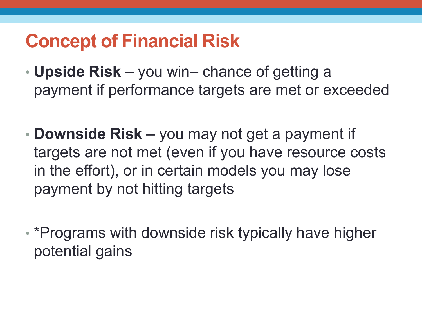## **Concept of Financial Risk**

- **Upside Risk**  you win– chance of getting a payment if performance targets are met or exceeded
- **Downside Risk**  you may not get a payment if targets are not met (even if you have resource costs in the effort), or in certain models you may lose payment by not hitting targets
- \*Programs with downside risk typically have higher potential gains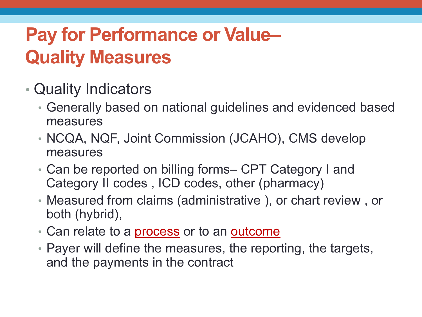# **Pay for Performance or Value– Quality Measures**

- Quality Indicators
	- Generally based on national guidelines and evidenced based measures
	- NCQA, NQF, Joint Commission (JCAHO), CMS develop measures
	- Can be reported on billing forms– CPT Category I and Category II codes , ICD codes, other (pharmacy)
	- Measured from claims (administrative ), or chart review , or both (hybrid),
	- Can relate to a **process** or to an **outcome**
	- Payer will define the measures, the reporting, the targets, and the payments in the contract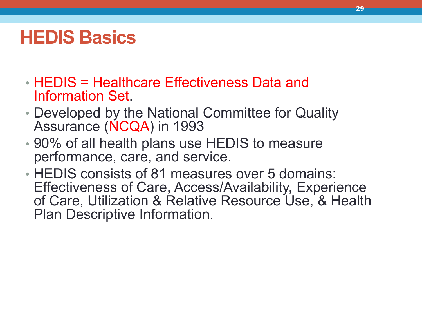## **HEDIS Basics**

- HEDIS = Healthcare Effectiveness Data and Information Set.
- Developed by the National Committee for Quality Assurance (NCQA) in 1993
- 90% of all health plans use HEDIS to measure performance, care, and service.
- HEDIS consists of 81 measures over 5 domains: Effectiveness of Care, Access/Availability, Experience of Care, Utilization & Relative Resource Use, & Health Plan Descriptive Information.

**29**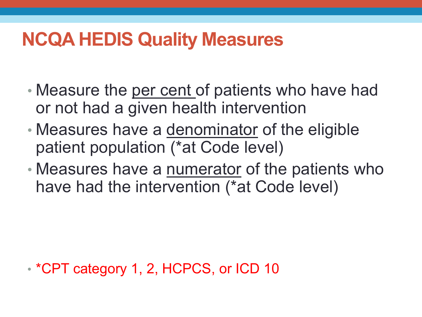## **NCQA HEDIS Quality Measures**

- Measure the per cent of patients who have had or not had a given health intervention
- Measures have a denominator of the eligible patient population (\*at Code level)
- Measures have a numerator of the patients who have had the intervention (\*at Code level)

• \*CPT category 1, 2, HCPCS, or ICD 10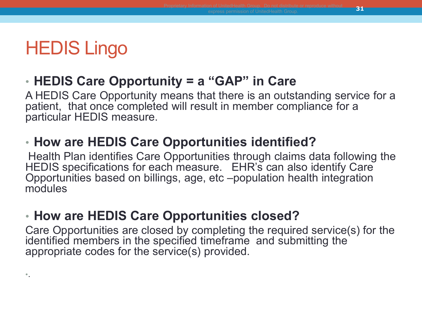### HEDIS Lingo

•.

### • **HEDIS Care Opportunity = a "GAP" in Care**

A HEDIS Care Opportunity means that there is an outstanding service for a patient, that once completed will result in member compliance for a particular HEDIS measure.

### • **How are HEDIS Care Opportunities identified?**

Health Plan identifies Care Opportunities through claims data following the HEDIS specifications for each measure. EHR's can also identify Care Opportunities based on billings, age, etc –population health integration modules

### • **How are HEDIS Care Opportunities closed?**

Care Opportunities are closed by completing the required service(s) for the identified members in the specified timeframe and submitting the appropriate codes for the service(s) provided.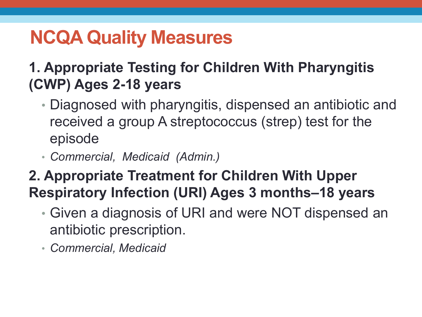## **NCQA Quality Measures**

### **1. Appropriate Testing for Children With Pharyngitis (CWP) Ages 2-18 years**

- Diagnosed with pharyngitis, dispensed an antibiotic and received a group A streptococcus (strep) test for the episode
- *Commercial, Medicaid (Admin.)*

### **2. Appropriate Treatment for Children With Upper Respiratory Infection (URI) Ages 3 months–18 years**

- Given a diagnosis of URI and were NOT dispensed an antibiotic prescription.
- *Commercial, Medicaid*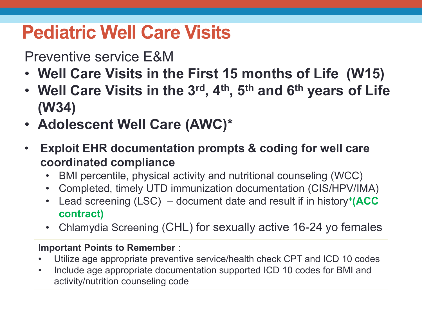## **Pediatric Well Care Visits**

### Preventive service E&M

- **Well Care Visits in the First 15 months of Life (W15) <sup>+</sup>**
- **Well Care Visits in the 3rd, 4th, 5th and 6th years of Life (W34) <sup>+</sup>**
- **Adolescent Well Care (AWC)\***
- **Exploit EHR documentation prompts & coding for well care coordinated compliance**
	- BMI percentile, physical activity and nutritional counseling (WCC)**<sup>+</sup>**
	- Completed, timely UTD immunization documentation (CIS/HPV/IMA)**<sup>+</sup>**
	- Lead screening (LSC) **<sup>+</sup>** document date and result if in history**+(ACC contract)**
	- Chlamydia Screening (CHL) for sexually active 16-24 yo females

#### **Important Points to Remember** :

- Utilize age appropriate preventive service/health check CPT and ICD 10 codes
- Include age appropriate documentation supported ICD 10 codes for BMI and activity/nutrition counseling code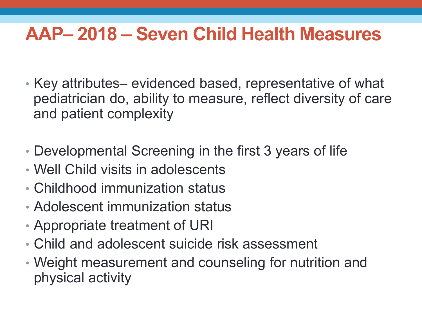## **AAP– 2018 – Seven Child Health Measures**

- Key attributes– evidenced based, representative of what pediatrician do, ability to measure, reflect diversity of care and patient complexity
- Developmental Screening in the first 3 years of life
- Well Child visits in adolescents
- Childhood immunization status
- Adolescent immunization status
- Appropriate treatment of URI
- Child and adolescent suicide risk assessment
- Weight measurement and counseling for nutrition and physical activity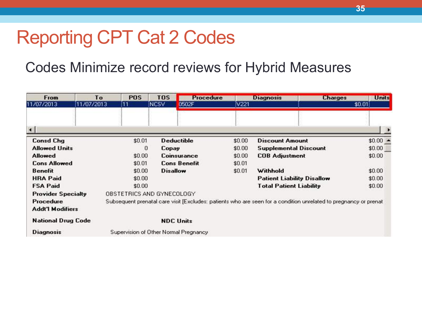### Reporting CPT Cat 2 Codes

### Codes Minimize record reviews for Hybrid Measures

| From                      | To                                                                                                               | <b>POS</b>                            | <b>TOS</b>      | <b>Procedure</b>    |        | <b>Diagnosis</b>                  | <b>Charges</b> | <b>Units</b>         |
|---------------------------|------------------------------------------------------------------------------------------------------------------|---------------------------------------|-----------------|---------------------|--------|-----------------------------------|----------------|----------------------|
| 11/07/2013                | 11/07/2013                                                                                                       | 11                                    | inesv           | 0502F               | iV221  |                                   | \$0.01         |                      |
|                           |                                                                                                                  |                                       |                 |                     |        |                                   |                |                      |
| $\blacksquare$            |                                                                                                                  |                                       |                 |                     |        |                                   |                | $\ddot{\phantom{1}}$ |
| <b>Consd Chg</b>          |                                                                                                                  | \$0.01                                |                 | <b>Deductible</b>   | \$0.00 | <b>Discount Amount</b>            |                | $$0.00 -$            |
| <b>Allowed Units</b>      |                                                                                                                  | O                                     | Copay           |                     | \$0.00 | Supplemental Discount             |                | \$0.00               |
| <b>Allowed</b>            |                                                                                                                  | \$0.00                                |                 | Coinsurance         | \$0.00 | <b>COB Adjustment</b>             |                | \$0.00               |
| <b>Cons Allowed</b>       |                                                                                                                  | \$0.01                                |                 | <b>Cons Benefit</b> | \$0.01 |                                   |                |                      |
| <b>Benefit</b>            |                                                                                                                  | \$0.00                                | <b>Disallow</b> |                     | \$0.01 | Withhold                          |                | \$0.00               |
| <b>HRA Paid</b>           |                                                                                                                  | \$0.00                                |                 |                     |        | <b>Patient Liability Disallow</b> |                | \$0.00               |
| <b>FSA Paid</b>           |                                                                                                                  | \$0.00                                |                 |                     |        | <b>Total Patient Liability</b>    |                | \$0.00               |
|                           | OBSTETRICS AND GYNECOLOGY<br><b>Provider Specialty</b>                                                           |                                       |                 |                     |        |                                   |                |                      |
| Procedure                 | Subsequent prenatal care visit [Excludes: patients who are seen for a condition unrelated to pregnancy or prenat |                                       |                 |                     |        |                                   |                |                      |
| <b>Addt'l Modifiers</b>   |                                                                                                                  |                                       |                 |                     |        |                                   |                |                      |
| <b>National Drug Code</b> |                                                                                                                  |                                       |                 | <b>NDC Units</b>    |        |                                   |                |                      |
| <b>Diagnosis</b>          |                                                                                                                  | Supervision of Other Normal Pregnancy |                 |                     |        |                                   |                |                      |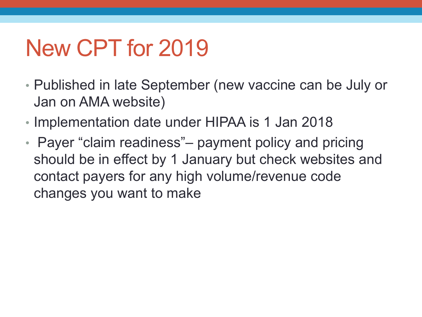# New CPT for 2019

- Published in late September (new vaccine can be July or Jan on AMA website)
- Implementation date under HIPAA is 1 Jan 2018
- Payer "claim readiness" payment policy and pricing should be in effect by 1 January but check websites and contact payers for any high volume/revenue code changes you want to make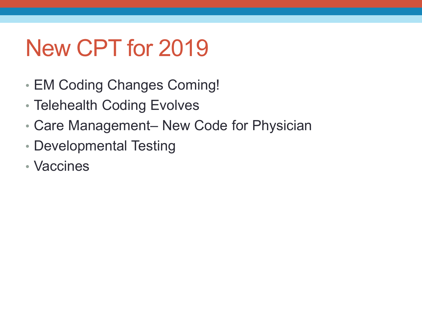# New CPT for 2019

- EM Coding Changes Coming!
- Telehealth Coding Evolves
- Care Management– New Code for Physician
- Developmental Testing
- Vaccines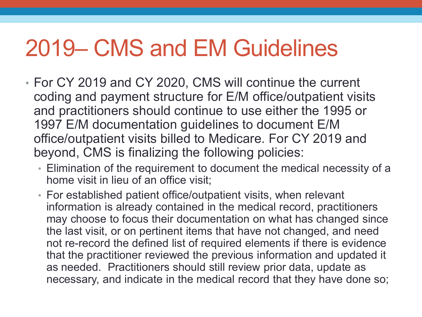# 2019– CMS and EM Guidelines

- For CY 2019 and CY 2020, CMS will continue the current coding and payment structure for E/M office/outpatient visits and practitioners should continue to use either the 1995 or 1997 E/M documentation guidelines to document E/M office/outpatient visits billed to Medicare. For CY 2019 and beyond, CMS is finalizing the following policies:
	- Elimination of the requirement to document the medical necessity of a home visit in lieu of an office visit;
	- For established patient office/outpatient visits, when relevant information is already contained in the medical record, practitioners may choose to focus their documentation on what has changed since the last visit, or on pertinent items that have not changed, and need not re-record the defined list of required elements if there is evidence that the practitioner reviewed the previous information and updated it as needed. Practitioners should still review prior data, update as necessary, and indicate in the medical record that they have done so;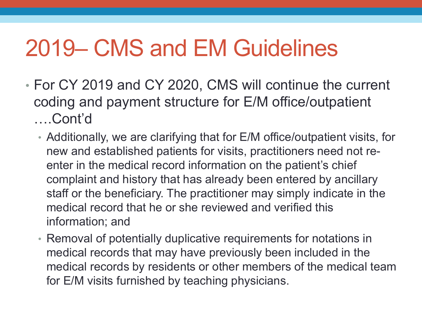# 2019– CMS and EM Guidelines

- For CY 2019 and CY 2020, CMS will continue the current coding and payment structure for E/M office/outpatient ….Cont'd
	- Additionally, we are clarifying that for E/M office/outpatient visits, for new and established patients for visits, practitioners need not reenter in the medical record information on the patient's chief complaint and history that has already been entered by ancillary staff or the beneficiary. The practitioner may simply indicate in the medical record that he or she reviewed and verified this information; and
	- Removal of potentially duplicative requirements for notations in medical records that may have previously been included in the medical records by residents or other members of the medical team for E/M visits furnished by teaching physicians.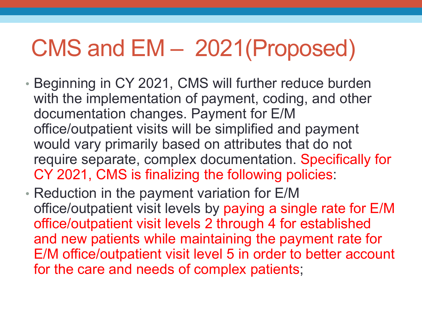# CMS and EM – 2021(Proposed)

- Beginning in CY 2021, CMS will further reduce burden with the implementation of payment, coding, and other documentation changes. Payment for E/M office/outpatient visits will be simplified and payment would vary primarily based on attributes that do not require separate, complex documentation. Specifically for CY 2021, CMS is finalizing the following policies:
- Reduction in the payment variation for E/M office/outpatient visit levels by paying a single rate for E/M office/outpatient visit levels 2 through 4 for established and new patients while maintaining the payment rate for E/M office/outpatient visit level 5 in order to better account for the care and needs of complex patients;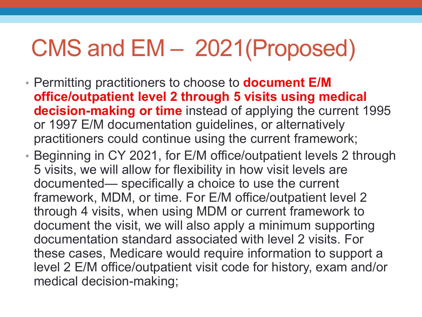# CMS and EM – 2021(Proposed)

- Permitting practitioners to choose to **document E/M office/outpatient level 2 through 5 visits using medical decision-making or time** instead of applying the current 1995 or 1997 E/M documentation guidelines, or alternatively practitioners could continue using the current framework;
- Beginning in CY 2021, for E/M office/outpatient levels 2 through 5 visits, we will allow for flexibility in how visit levels are documented— specifically a choice to use the current framework, MDM, or time. For E/M office/outpatient level 2 through 4 visits, when using MDM or current framework to document the visit, we will also apply a minimum supporting documentation standard associated with level 2 visits. For these cases, Medicare would require information to support a level 2 E/M office/outpatient visit code for history, exam and/or medical decision-making;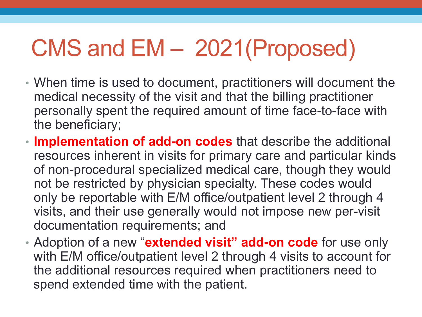# CMS and EM – 2021(Proposed)

- When time is used to document, practitioners will document the medical necessity of the visit and that the billing practitioner personally spent the required amount of time face-to-face with the beneficiary;
- **Implementation of add-on codes** that describe the additional resources inherent in visits for primary care and particular kinds of non-procedural specialized medical care, though they would not be restricted by physician specialty. These codes would only be reportable with E/M office/outpatient level 2 through 4 visits, and their use generally would not impose new per-visit documentation requirements; and
- Adoption of a new "**extended visit" add-on code** for use only with E/M office/outpatient level 2 through 4 visits to account for the additional resources required when practitioners need to spend extended time with the patient.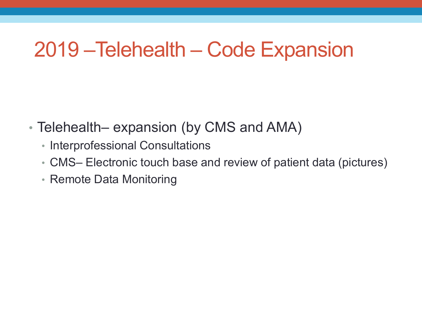#### 2019 –Telehealth – Code Expansion

- Telehealth– expansion (by CMS and AMA)
	- Interprofessional Consultations
	- CMS– Electronic touch base and review of patient data (pictures)
	- Remote Data Monitoring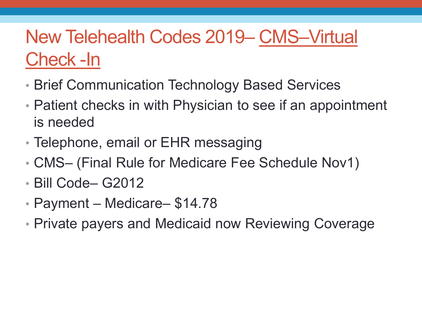#### New Telehealth Codes 2019– CMS–Virtual Check -In

- Brief Communication Technology Based Services
- Patient checks in with Physician to see if an appointment is needed
- Telephone, email or EHR messaging
- CMS– (Final Rule for Medicare Fee Schedule Nov1)
- Bill Code– G2012
- Payment Medicare– \$14.78
- Private payers and Medicaid now Reviewing Coverage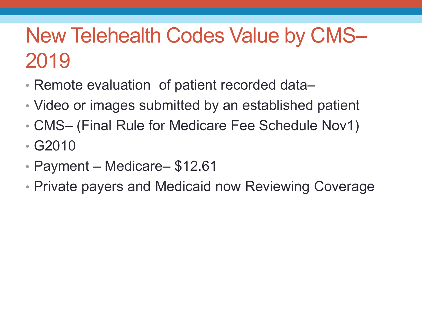#### New Telehealth Codes Value by CMS– 2019

- Remote evaluation of patient recorded data–
- Video or images submitted by an established patient
- CMS– (Final Rule for Medicare Fee Schedule Nov1)
- G2010
- Payment Medicare– \$12.61
- Private payers and Medicaid now Reviewing Coverage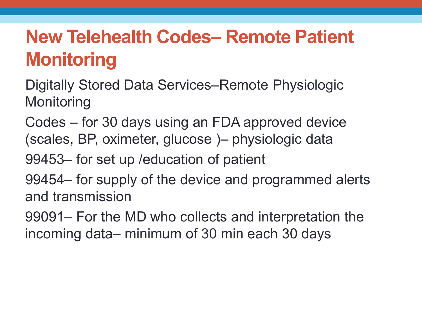#### **New Telehealth Codes– Remote Patient Monitoring**

Digitally Stored Data Services–Remote Physiologic **Monitoring** 

Codes – for 30 days using an FDA approved device (scales, BP, oximeter, glucose )– physiologic data

99453– for set up /education of patient

99454– for supply of the device and programmed alerts and transmission

99091– For the MD who collects and interpretation the incoming data– minimum of 30 min each 30 days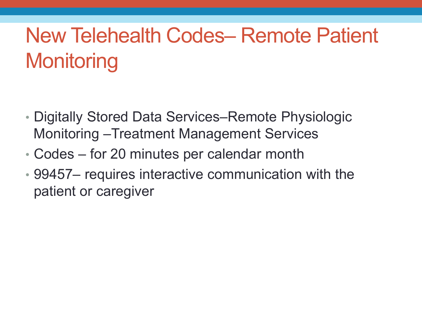## New Telehealth Codes– Remote Patient **Monitoring**

- Digitally Stored Data Services–Remote Physiologic Monitoring –Treatment Management Services
- Codes for 20 minutes per calendar month
- 99457– requires interactive communication with the patient or caregiver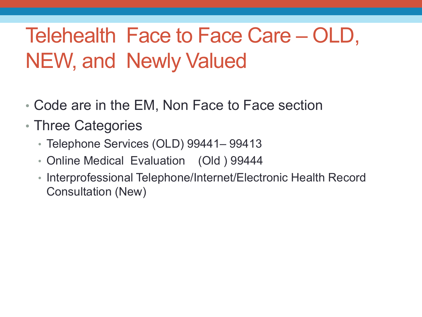### Telehealth Face to Face Care – OLD, NEW, and Newly Valued

- Code are in the EM, Non Face to Face section
- Three Categories
	- Telephone Services (OLD) 99441– 99413
	- Online Medical Evaluation (Old ) 99444
	- Interprofessional Telephone/Internet/Electronic Health Record Consultation (New)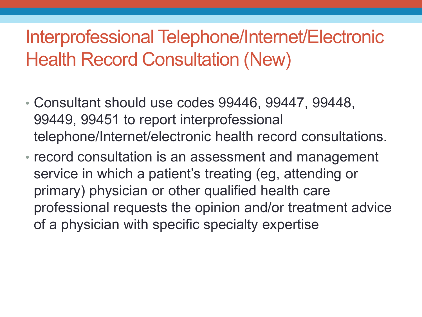#### Interprofessional Telephone/Internet/Electronic Health Record Consultation (New)

- Consultant should use codes 99446, 99447, 99448, 99449, 99451 to report interprofessional telephone/Internet/electronic health record consultations.
- record consultation is an assessment and management service in which a patient's treating (eg, attending or primary) physician or other qualified health care professional requests the opinion and/or treatment advice of a physician with specific specialty expertise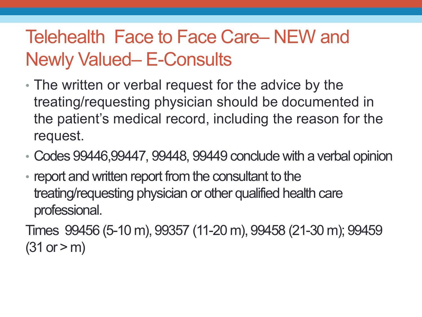#### Telehealth Face to Face Care– NEW and Newly Valued– E-Consults

- The written or verbal request for the advice by the treating/requesting physician should be documented in the patient's medical record, including the reason for the request.
- Codes 99446,99447, 99448, 99449 conclude with a verbal opinion
- report and written report from the consultant to the treating/requesting physician or other qualified health care professional.

Times 99456 (5-10 m), 99357 (11-20 m), 99458 (21-30 m); 99459  $(31 or > m)$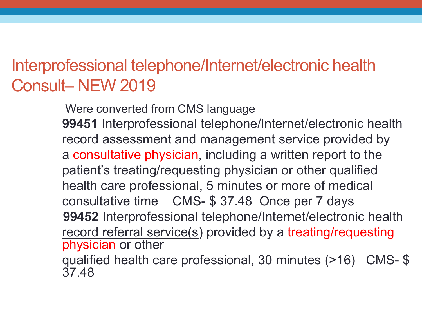#### Interprofessional telephone/Internet/electronic health Consult– NEW 2019

Were converted from CMS language **99451** Interprofessional telephone/Internet/electronic health record assessment and management service provided by a consultative physician, including a written report to the patient's treating/requesting physician or other qualified health care professional, 5 minutes or more of medical consultative time CMS- \$ 37.48 Once per 7 days **99452** Interprofessional telephone/Internet/electronic health record referral service(s) provided by a treating/requesting physician or other

qualified health care professional, 30 minutes (>16) CMS- \$ 37.48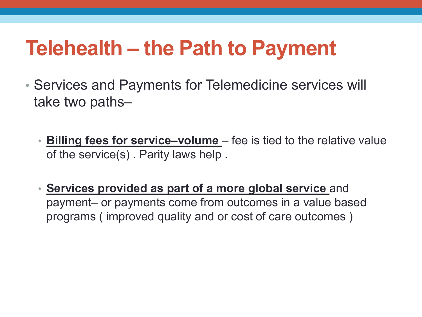#### **Telehealth – the Path to Payment**

- Services and Payments for Telemedicine services will take two paths–
	- **Billing fees for service–volume**  fee is tied to the relative value of the service(s) . Parity laws help .
	- **Services provided as part of a more global service** and payment– or payments come from outcomes in a value based programs ( improved quality and or cost of care outcomes )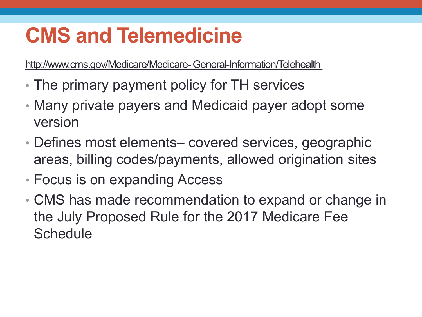#### **CMS and Telemedicine**

http://www.cms.gov/Medicare/Medicare- General-Information/Telehealth

- The primary payment policy for TH services
- Many private payers and Medicaid payer adopt some version
- Defines most elements– covered services, geographic areas, billing codes/payments, allowed origination sites
- Focus is on expanding Access
- CMS has made recommendation to expand or change in the July Proposed Rule for the 2017 Medicare Fee **Schedule**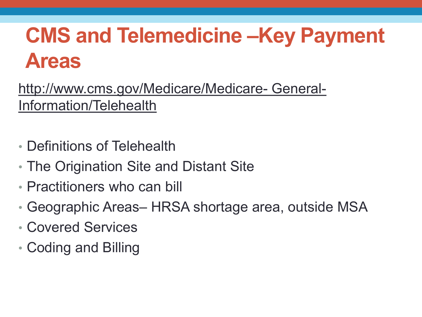## **CMS and Telemedicine –Key Payment Areas**

http://www.cms.gov/Medicare/Medicare- General-Information/Telehealth

- Definitions of Telehealth
- The Origination Site and Distant Site
- Practitioners who can bill
- Geographic Areas– HRSA shortage area, outside MSA
- Covered Services
- Coding and Billing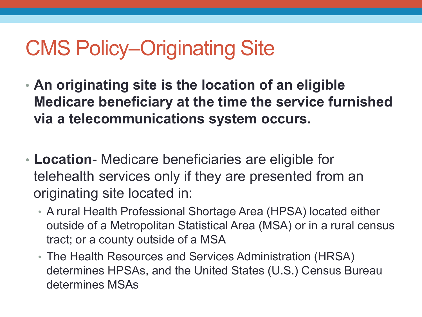#### CMS Policy–Originating Site

- **An originating site is the location of an eligible Medicare beneficiary at the time the service furnished via a telecommunications system occurs.**
- **Location** Medicare beneficiaries are eligible for telehealth services only if they are presented from an originating site located in:
	- A rural Health Professional Shortage Area (HPSA) located either outside of a Metropolitan Statistical Area (MSA) or in a rural census tract; or a county outside of a MSA
	- The Health Resources and Services Administration (HRSA) determines HPSAs, and the United States (U.S.) Census Bureau determines MSAs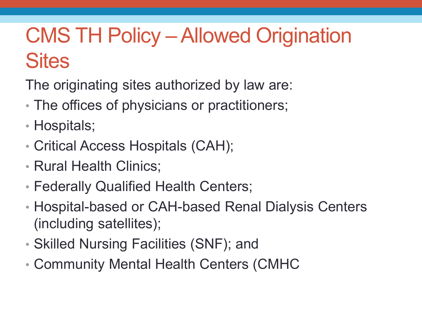### CMS TH Policy –Allowed Origination **Sites**

The originating sites authorized by law are:

- The offices of physicians or practitioners;
- Hospitals;
- Critical Access Hospitals (CAH);
- Rural Health Clinics;
- Federally Qualified Health Centers;
- Hospital-based or CAH-based Renal Dialysis Centers (including satellites);
- Skilled Nursing Facilities (SNF); and
- Community Mental Health Centers (CMHC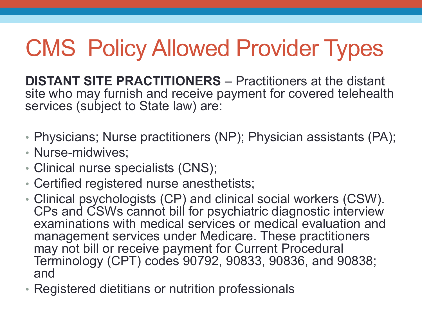# CMS Policy Allowed Provider Types

**DISTANT SITE PRACTITIONERS** – Practitioners at the distant site who may furnish and receive payment for covered telehealth services (subject to State law) are:

- Physicians; Nurse practitioners (NP); Physician assistants (PA);
- Nurse-midwives;
- Clinical nurse specialists (CNS);
- Certified registered nurse anesthetists;
- Clinical psychologists (CP) and clinical social workers (CSW). CPs and CSWs cannot bill for psychiatric diagnostic interview examinations with medical services or medical evaluation and management services under Medicare. These practitioners may not bill or receive payment for Current Procedural Terminology (CPT) codes 90792, 90833, 90836, and 90838; and
- Registered dietitians or nutrition professionals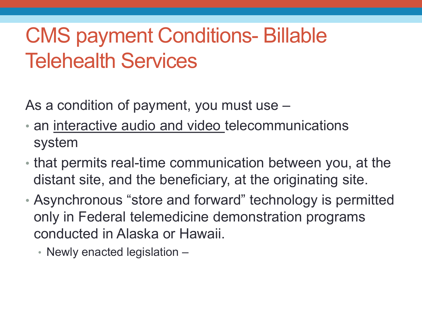### CMS payment Conditions- Billable Telehealth Services

As a condition of payment, you must use –

- an interactive audio and video telecommunications system
- that permits real-time communication between you, at the distant site, and the beneficiary, at the originating site.
- Asynchronous "store and forward" technology is permitted only in Federal telemedicine demonstration programs conducted in Alaska or Hawaii.
	- Newly enacted legislation –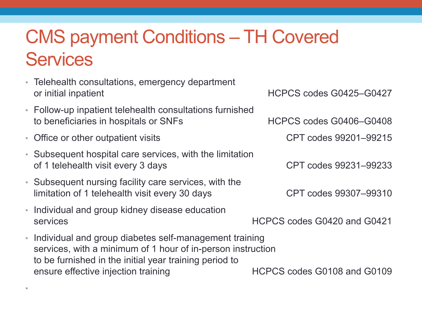#### CMS payment Conditions – TH Covered **Services**

- Telehealth consultations, emergency department or initial inpatient and the set of the HCPCS codes G0425–G0427
- Follow-up inpatient telehealth consultations furnished to beneficiaries in hospitals or SNFs HCPCS codes G0406–G0408
- Office or other outpatient visits CPT codes 99201–99215

•

- Subsequent hospital care services, with the limitation of 1 telehealth visit every 3 days CPT codes 99231–99233
- Subsequent nursing facility care services, with the limitation of 1 telehealth visit every 30 days CPT codes 99307–99310
- Individual and group kidney disease education services HCPCS codes G0420 and G0421
- Individual and group diabetes self-management training services, with a minimum of 1 hour of in-person instruction to be furnished in the initial year training period to ensure effective injection training HCPCS codes G0108 and G0109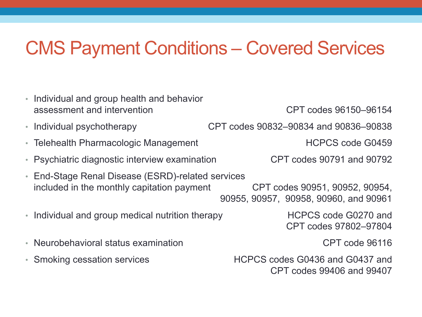#### CMS Payment Conditions – Covered Services

| • Individual and group health and behavior<br>assessment and intervention                       | CPT codes 96150-96154                                                   |
|-------------------------------------------------------------------------------------------------|-------------------------------------------------------------------------|
| • Individual psychotherapy                                                                      | CPT codes 90832-90834 and 90836-90838                                   |
| • Telehealth Pharmacologic Management                                                           | <b>HCPCS code G0459</b>                                                 |
| • Psychiatric diagnostic interview examination                                                  | CPT codes 90791 and 90792                                               |
| • End-Stage Renal Disease (ESRD)-related services<br>included in the monthly capitation payment | CPT codes 90951, 90952, 90954.<br>90955, 90957, 90958, 90960, and 90961 |
| • Individual and group medical nutrition therapy                                                | HCPCS code G0270 and<br>CPT codes 97802-97804                           |
| • Neurobehavioral status examination                                                            | CPT code 96116                                                          |
| • Smoking cessation services                                                                    | HCPCS codes G0436 and G0437 and                                         |

CPT codes 99406 and 99407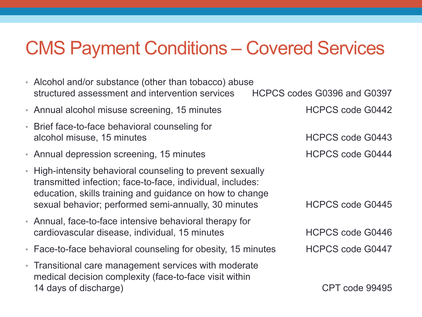#### CMS Payment Conditions – Covered Services

| • Alcohol and/or substance (other than tobacco) abuse<br>structured assessment and intervention services                                                                                                                                                                | HCPCS codes G0396 and G0397 |  |
|-------------------------------------------------------------------------------------------------------------------------------------------------------------------------------------------------------------------------------------------------------------------------|-----------------------------|--|
| • Annual alcohol misuse screening, 15 minutes                                                                                                                                                                                                                           | <b>HCPCS code G0442</b>     |  |
| • Brief face-to-face behavioral counseling for<br>alcohol misuse, 15 minutes                                                                                                                                                                                            | <b>HCPCS code G0443</b>     |  |
| • Annual depression screening, 15 minutes                                                                                                                                                                                                                               | <b>HCPCS code G0444</b>     |  |
| • High-intensity behavioral counseling to prevent sexually<br>transmitted infection; face-to-face, individual, includes:<br>education, skills training and guidance on how to change<br>sexual behavior; performed semi-annually, 30 minutes<br><b>HCPCS code G0445</b> |                             |  |
| • Annual, face-to-face intensive behavioral therapy for<br>cardiovascular disease, individual, 15 minutes                                                                                                                                                               | <b>HCPCS code G0446</b>     |  |
| • Face-to-face behavioral counseling for obesity, 15 minutes                                                                                                                                                                                                            | <b>HCPCS code G0447</b>     |  |
| • Transitional care management services with moderate<br>medical decision complexity (face-to-face visit within<br>14 days of discharge)                                                                                                                                | CPT code 99495              |  |
|                                                                                                                                                                                                                                                                         |                             |  |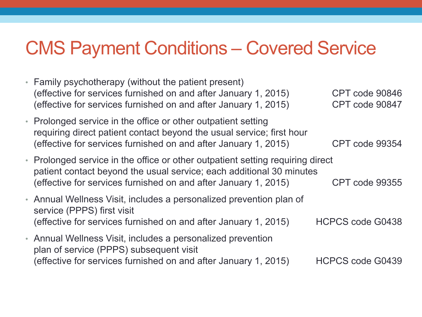#### CMS Payment Conditions – Covered Service

• Family psychotherapy (without the patient present) (effective for services furnished on and after January 1, 2015) CPT code 90846 (effective for services furnished on and after January 1, 2015) CPT code 90847 • Prolonged service in the office or other outpatient setting requiring direct patient contact beyond the usual service; first hour (effective for services furnished on and after January 1, 2015) CPT code 99354 • Prolonged service in the office or other outpatient setting requiring direct patient contact beyond the usual service; each additional 30 minutes (effective for services furnished on and after January 1, 2015) CPT code 99355 • Annual Wellness Visit, includes a personalized prevention plan of service (PPPS) first visit (effective for services furnished on and after January 1, 2015) HCPCS code G0438 • Annual Wellness Visit, includes a personalized prevention plan of service (PPPS) subsequent visit (effective for services furnished on and after January 1, 2015) HCPCS code G0439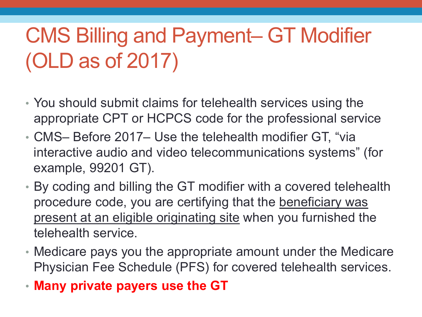## CMS Billing and Payment– GT Modifier (OLD as of 2017)

- You should submit claims for telehealth services using the appropriate CPT or HCPCS code for the professional service
- CMS– Before 2017– Use the telehealth modifier GT, "via interactive audio and video telecommunications systems" (for example, 99201 GT).
- By coding and billing the GT modifier with a covered telehealth procedure code, you are certifying that the beneficiary was present at an eligible originating site when you furnished the telehealth service.
- Medicare pays you the appropriate amount under the Medicare Physician Fee Schedule (PFS) for covered telehealth services.
- **Many private payers use the GT**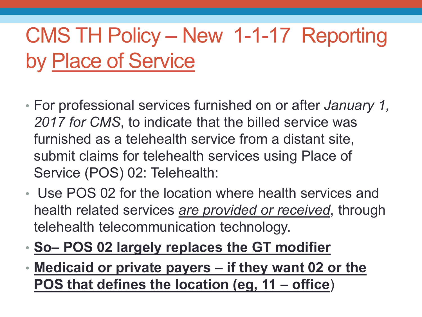## CMS TH Policy – New 1-1-17 Reporting by Place of Service

- For professional services furnished on or after *January 1, 2017 for CMS*, to indicate that the billed service was furnished as a telehealth service from a distant site, submit claims for telehealth services using Place of Service (POS) 02: Telehealth:
- Use POS 02 for the location where health services and health related services *are provided or received*, through telehealth telecommunication technology.
- **So– POS 02 largely replaces the GT modifier**
- **Medicaid or private payers – if they want 02 or the POS that defines the location (eg, 11 – office**)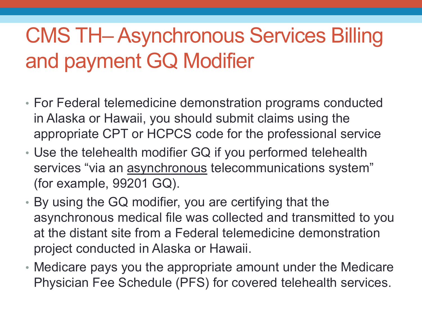## CMS TH–Asynchronous Services Billing and payment GQ Modifier

- For Federal telemedicine demonstration programs conducted in Alaska or Hawaii, you should submit claims using the appropriate CPT or HCPCS code for the professional service
- Use the telehealth modifier GQ if you performed telehealth services "via an asynchronous telecommunications system" (for example, 99201 GQ).
- By using the GQ modifier, you are certifying that the asynchronous medical file was collected and transmitted to you at the distant site from a Federal telemedicine demonstration project conducted in Alaska or Hawaii.
- Medicare pays you the appropriate amount under the Medicare Physician Fee Schedule (PFS) for covered telehealth services.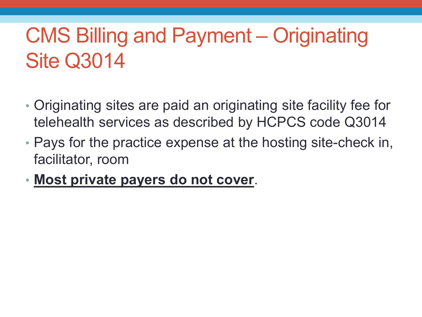### CMS Billing and Payment – Originating Site Q3014

- Originating sites are paid an originating site facility fee for telehealth services as described by HCPCS code Q3014
- Pays for the practice expense at the hosting site-check in, facilitator, room
- **Most private payers do not cover**.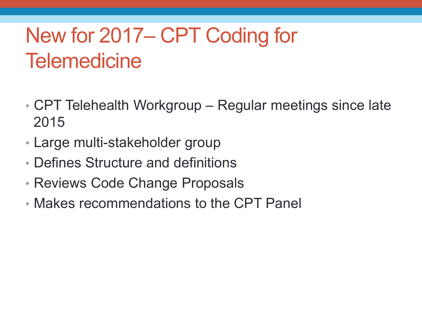### New for 2017– CPT Coding for **Telemedicine**

- CPT Telehealth Workgroup Regular meetings since late 2015
- Large multi-stakeholder group
- Defines Structure and definitions
- Reviews Code Change Proposals
- Makes recommendations to the CPT Panel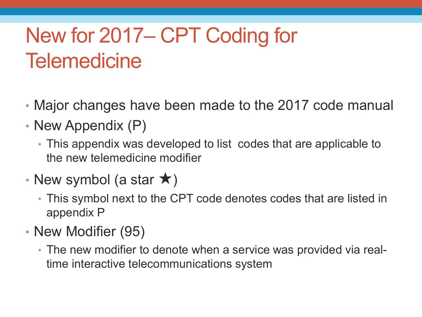## New for 2017– CPT Coding for **Telemedicine**

- Major changes have been made to the 2017 code manual
- New Appendix (P)
	- This appendix was developed to list codes that are applicable to the new telemedicine modifier
- New symbol (a star  $\star$ )
	- This symbol next to the CPT code denotes codes that are listed in appendix P
- New Modifier (95)
	- The new modifier to denote when a service was provided via realtime interactive telecommunications system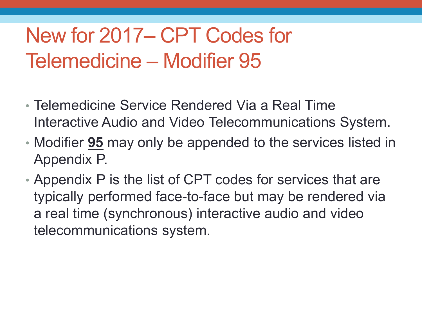### New for 2017– CPT Codes for Telemedicine – Modifier 95

- Telemedicine Service Rendered Via a Real Time Interactive Audio and Video Telecommunications System.
- Modifier **95** may only be appended to the services listed in Appendix P.
- Appendix P is the list of CPT codes for services that are typically performed face-to-face but may be rendered via a real time (synchronous) interactive audio and video telecommunications system.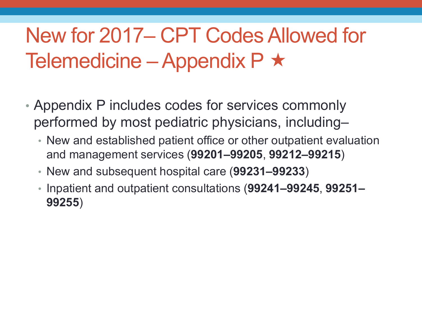### New for 2017– CPT Codes Allowed for Telemedicine – Appendix P  $\star$

- Appendix P includes codes for services commonly performed by most pediatric physicians, including–
	- New and established patient office or other outpatient evaluation and management services (**99201–99205**, **99212–99215**)
	- New and subsequent hospital care (**99231–99233**)
	- Inpatient and outpatient consultations (**99241–99245**, **99251– 99255**)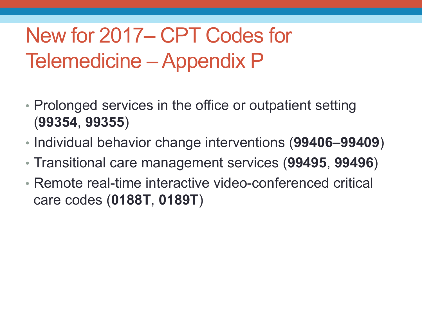## New for 2017– CPT Codes for Telemedicine – Appendix P

- Prolonged services in the office or outpatient setting (**99354**, **99355**)
- Individual behavior change interventions (**99406–99409**)
- Transitional care management services (**99495**, **99496**)
- Remote real-time interactive video-conferenced critical care codes (**0188T**, **0189T**)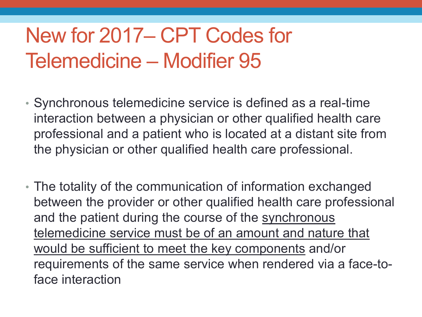### New for 2017– CPT Codes for Telemedicine – Modifier 95

- Synchronous telemedicine service is defined as a real-time interaction between a physician or other qualified health care professional and a patient who is located at a distant site from the physician or other qualified health care professional.
- The totality of the communication of information exchanged between the provider or other qualified health care professional and the patient during the course of the synchronous telemedicine service must be of an amount and nature that would be sufficient to meet the key components and/or requirements of the same service when rendered via a face-toface interaction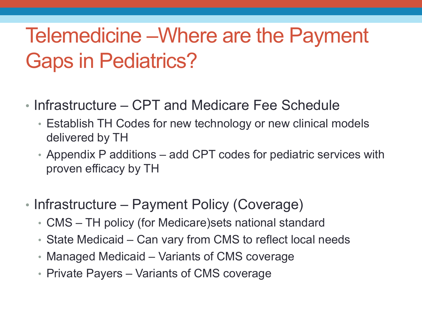#### Telemedicine –Where are the Payment Gaps in Pediatrics?

- Infrastructure CPT and Medicare Fee Schedule
	- Establish TH Codes for new technology or new clinical models delivered by TH
	- Appendix P additions add CPT codes for pediatric services with proven efficacy by TH
- Infrastructure Payment Policy (Coverage)
	- CMS TH policy (for Medicare)sets national standard
	- State Medicaid Can vary from CMS to reflect local needs
	- Managed Medicaid Variants of CMS coverage
	- Private Payers Variants of CMS coverage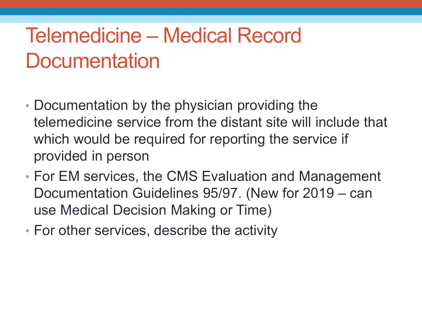#### Telemedicine – Medical Record **Documentation**

- Documentation by the physician providing the telemedicine service from the distant site will include that which would be required for reporting the service if provided in person
- For EM services, the CMS Evaluation and Management Documentation Guidelines 95/97. (New for 2019 – can use Medical Decision Making or Time)
- For other services, describe the activity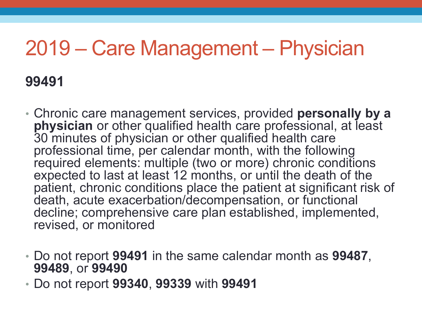#### 2019 – Care Management – Physician

#### **99491**

- Chronic care management services, provided **personally by a physician** or other qualified health care professional, at least 30 minutes of physician or other qualified health care professional time, per calendar month, with the following required elements: multiple (two or more) chronic conditions expected to last at least 12 months, or until the death of the patient, chronic conditions place the patient at significant risk of death, acute exacerbation/decompensation, or functional decline; comprehensive care plan established, implemented, revised, or monitored
- Do not report **99491** in the same calendar month as **99487**, **99489**, or **99490**
- Do not report **99340**, **99339** with **99491**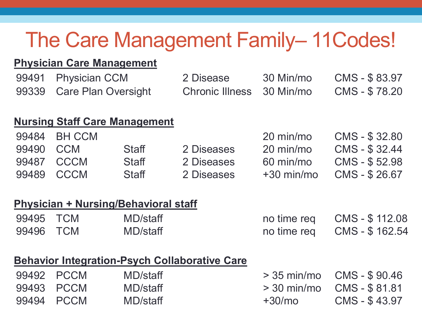#### The Care Management Family-11 Codes!

#### **Physician Care Management**

| 99491 | <b>Physician CCM</b>       |                                             | 2 Disease              | 30 Min/mo    | CMS - \$83.97  |
|-------|----------------------------|---------------------------------------------|------------------------|--------------|----------------|
| 99339 | <b>Care Plan Oversight</b> |                                             | <b>Chronic Illness</b> | 30 Min/mo    | CMS - \$78.20  |
|       |                            | <b>Nursing Staff Care Management</b>        |                        |              |                |
| 99484 | <b>BH CCM</b>              |                                             |                        | 20 min/mo    | CMS - \$32.80  |
| 99490 | <b>CCM</b>                 | <b>Staff</b>                                | 2 Diseases             | 20 min/mo    | CMS - \$32.44  |
| 99487 | <b>CCCM</b>                | <b>Staff</b>                                | 2 Diseases             | 60 min/mo    | CMS - \$52.98  |
| 99489 | <b>CCCM</b>                | <b>Staff</b>                                | 2 Diseases             | $+30$ min/mo | CMS - \$26.67  |
|       |                            | <b>Physician + Nursing/Behavioral staff</b> |                        |              |                |
| 99495 | <b>TCM</b>                 | MD/staff                                    |                        | no time reg  | CMS - \$112.08 |
| 99496 | <b>TCM</b>                 | MD/staff                                    |                        | no time reg  | CMS - \$162.54 |

|           |            | <b>Behavior Integration-Psych Collaborative Care</b> |                        |
|-----------|------------|------------------------------------------------------|------------------------|
| COLO DOOM | $M \cap L$ |                                                      | $\sim$ $\Omega$ $\sim$ |

| 99492 PCCM | MD/staff |          |                                   |
|------------|----------|----------|-----------------------------------|
| 99493 PCCM | MD/staff |          | $>$ 30 min/mo $\,$ CMS - \$ 81.81 |
| 99494 PCCM | MD/staff | $+30/mo$ | CMS - \$43.97                     |

| 99492 PCCM | MD/staff |          | $>$ 35 min/mo $\,$ CMS - \$ 90.46 |
|------------|----------|----------|-----------------------------------|
| 99493 PCCM | MD/staff |          | $>$ 30 min/mo CMS - \$81.81       |
| 99494 PCCM | MD/staff | $+30/mo$ | CMS - \$43.97                     |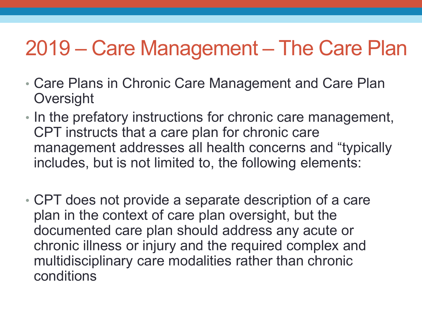#### 2019 – Care Management – The Care Plan

- Care Plans in Chronic Care Management and Care Plan **Oversight**
- In the prefatory instructions for chronic care management, CPT instructs that a care plan for chronic care management addresses all health concerns and "typically includes, but is not limited to, the following elements:
- CPT does not provide a separate description of a care plan in the context of care plan oversight, but the documented care plan should address any acute or chronic illness or injury and the required complex and multidisciplinary care modalities rather than chronic conditions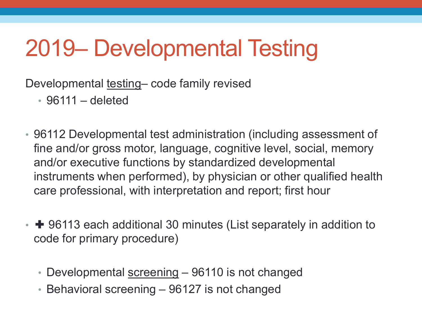# 2019– Developmental Testing

Developmental testing– code family revised

• 96111 – deleted

- 96112 Developmental test administration (including assessment of fine and/or gross motor, language, cognitive level, social, memory and/or executive functions by standardized developmental instruments when performed), by physician or other qualified health care professional, with interpretation and report; first hour
- **+** 96113 each additional 30 minutes (List separately in addition to code for primary procedure)
	- Developmental screening 96110 is not changed
	- Behavioral screening 96127 is not changed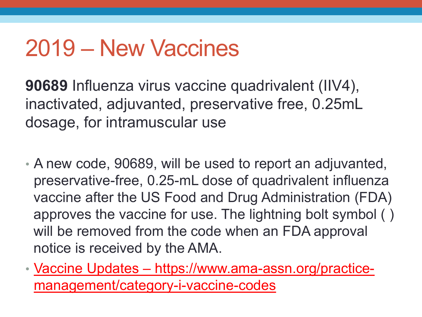## 2019 – New Vaccines

**90689** Influenza virus vaccine quadrivalent (IIV4), inactivated, adjuvanted, preservative free, 0.25mL dosage, for intramuscular use

- A new code, 90689, will be used to report an adjuvanted, preservative-free, 0.25-mL dose of quadrivalent influenza vaccine after the US Food and Drug Administration (FDA) approves the vaccine for use. The lightning bolt symbol ( ) will be removed from the code when an FDA approval notice is received by the AMA.
- Vaccine Updates https://www.ama-assn.org/practicemanagement/category-i-vaccine-codes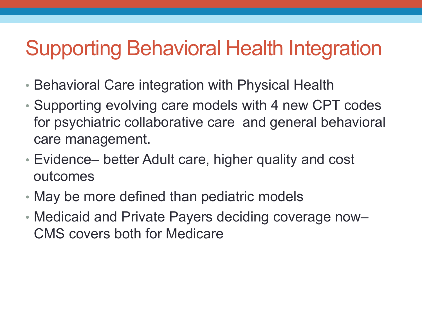#### Supporting Behavioral Health Integration

- Behavioral Care integration with Physical Health
- Supporting evolving care models with 4 new CPT codes for psychiatric collaborative care and general behavioral care management.
- Evidence– better Adult care, higher quality and cost outcomes
- May be more defined than pediatric models
- Medicaid and Private Payers deciding coverage now– CMS covers both for Medicare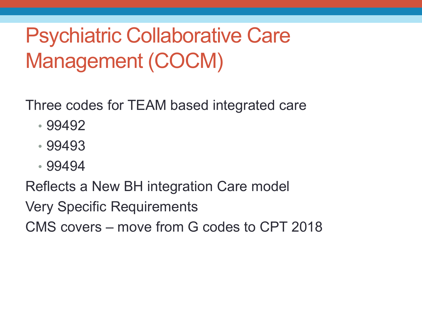Three codes for TEAM based integrated care

- 99492
- 99493
- 99494

Reflects a New BH integration Care model

Very Specific Requirements

CMS covers – move from G codes to CPT 2018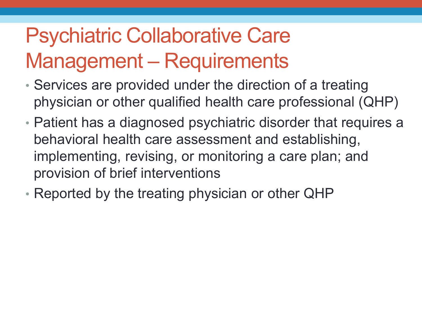## Psychiatric Collaborative Care Management – Requirements

- Services are provided under the direction of a treating physician or other qualified health care professional (QHP)
- Patient has a diagnosed psychiatric disorder that requires a behavioral health care assessment and establishing, implementing, revising, or monitoring a care plan; and provision of brief interventions
- Reported by the treating physician or other QHP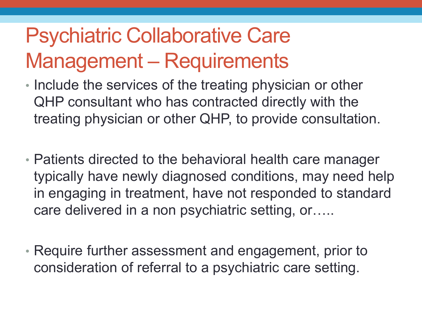### Psychiatric Collaborative Care Management – Requirements

- Include the services of the treating physician or other QHP consultant who has contracted directly with the treating physician or other QHP, to provide consultation.
- Patients directed to the behavioral health care manager typically have newly diagnosed conditions, may need help in engaging in treatment, have not responded to standard care delivered in a non psychiatric setting, or…..
- Require further assessment and engagement, prior to consideration of referral to a psychiatric care setting.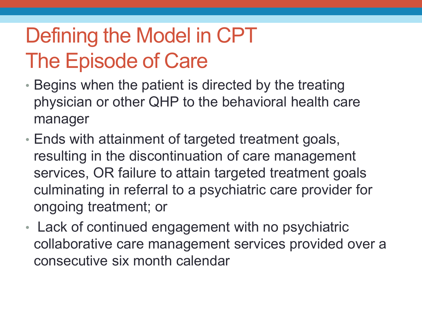## Defining the Model in CPT The Episode of Care

- Begins when the patient is directed by the treating physician or other QHP to the behavioral health care manager
- Ends with attainment of targeted treatment goals, resulting in the discontinuation of care management services, OR failure to attain targeted treatment goals culminating in referral to a psychiatric care provider for ongoing treatment; or
- Lack of continued engagement with no psychiatric collaborative care management services provided over a consecutive six month calendar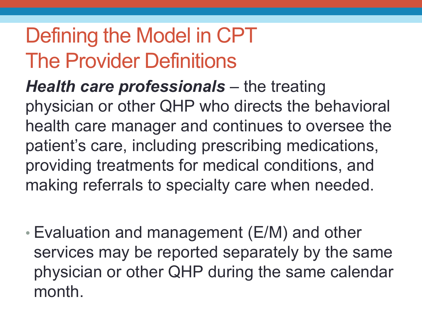#### Defining the Model in CPT The Provider Definitions

*Health care professionals – the treating* physician or other QHP who directs the behavioral health care manager and continues to oversee the patient's care, including prescribing medications, providing treatments for medical conditions, and making referrals to specialty care when needed.

• Evaluation and management (E/M) and other services may be reported separately by the same physician or other QHP during the same calendar month.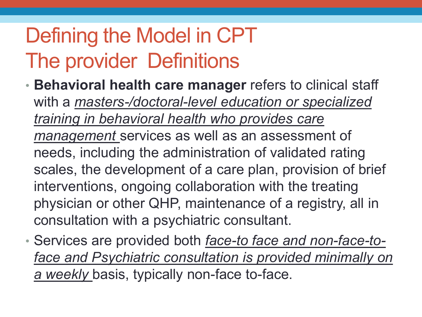## Defining the Model in CPT The provider Definitions

- **Behavioral health care manager** refers to clinical staff with a *masters-/doctoral-level education or specialized training in behavioral health who provides care management* services as well as an assessment of needs, including the administration of validated rating scales, the development of a care plan, provision of brief interventions, ongoing collaboration with the treating physician or other QHP, maintenance of a registry, all in consultation with a psychiatric consultant.
- Services are provided both *face-to face and non-face-toface and Psychiatric consultation is provided minimally on a weekly* basis, typically non-face to-face.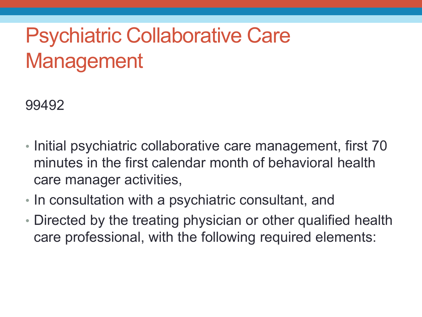99492

- Initial psychiatric collaborative care management, first 70 minutes in the first calendar month of behavioral health care manager activities,
- In consultation with a psychiatric consultant, and
- Directed by the treating physician or other qualified health care professional, with the following required elements: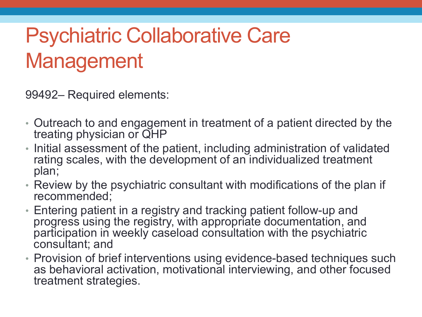99492– Required elements:

- Outreach to and engagement in treatment of a patient directed by the treating physician or QHP
- Initial assessment of the patient, including administration of validated rating scales, with the development of an individualized treatment plan;
- Review by the psychiatric consultant with modifications of the plan if recommended;
- Entering patient in a registry and tracking patient follow-up and progress using the registry, with appropriate documentation, and participation in weekly caseload consultation with the psychiatric consultant; and
- Provision of brief interventions using evidence-based techniques such as behavioral activation, motivational interviewing, and other focused treatment strategies.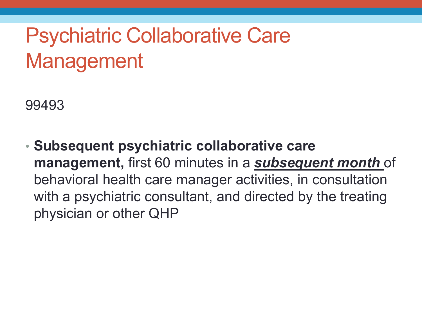99493

• **Subsequent psychiatric collaborative care management,** first 60 minutes in a *subsequent month* of behavioral health care manager activities, in consultation with a psychiatric consultant, and directed by the treating physician or other QHP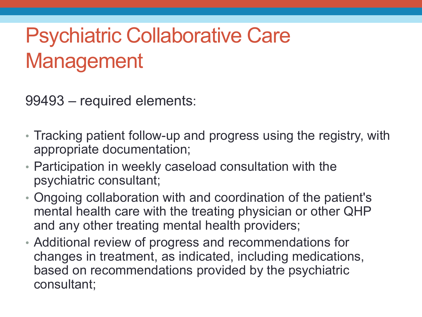99493 – required elements:

- Tracking patient follow-up and progress using the registry, with appropriate documentation;
- Participation in weekly caseload consultation with the psychiatric consultant;
- Ongoing collaboration with and coordination of the patient's mental health care with the treating physician or other QHP and any other treating mental health providers;
- Additional review of progress and recommendations for changes in treatment, as indicated, including medications, based on recommendations provided by the psychiatric consultant;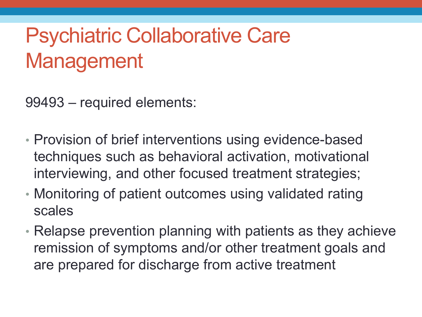99493 – required elements:

- Provision of brief interventions using evidence-based techniques such as behavioral activation, motivational interviewing, and other focused treatment strategies;
- Monitoring of patient outcomes using validated rating scales
- Relapse prevention planning with patients as they achieve remission of symptoms and/or other treatment goals and are prepared for discharge from active treatment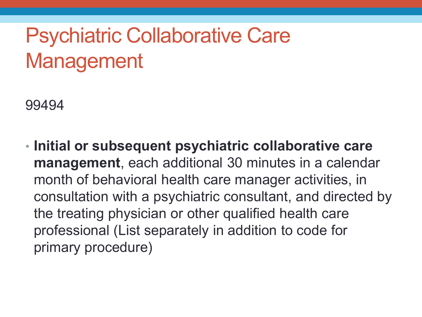99494

• **Initial or subsequent psychiatric collaborative care management**, each additional 30 minutes in a calendar month of behavioral health care manager activities, in consultation with a psychiatric consultant, and directed by the treating physician or other qualified health care professional (List separately in addition to code for primary procedure)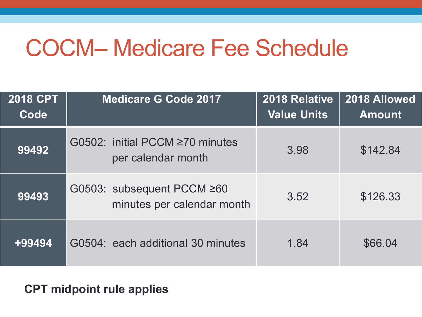## COCM– Medicare Fee Schedule

| <b>2018 CPT</b><br>Code | <b>Medicare G Code 2017</b>                                 | 2018 Relative<br><b>Value Units</b> | 2018 Allowed<br><b>Amount</b> |
|-------------------------|-------------------------------------------------------------|-------------------------------------|-------------------------------|
| 99492                   | G0502: initial PCCM $\geq$ 70 minutes<br>per calendar month | 3.98                                | \$142.84                      |
| 99493                   | G0503: subsequent PCCM ≥60<br>minutes per calendar month    | 3.52                                | \$126.33                      |
| +99494                  | G0504: each additional 30 minutes                           | 1.84                                | \$66,04                       |

#### **CPT midpoint rule applies**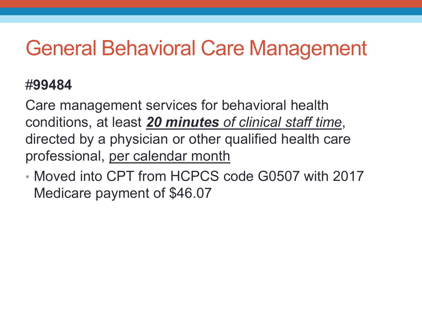#### General Behavioral Care Management

#### #**99484**

Care management services for behavioral health conditions, at least *20 minutes of clinical staff time*, directed by a physician or other qualified health care professional, per calendar month

• Moved into CPT from HCPCS code G0507 with 2017 Medicare payment of \$46.07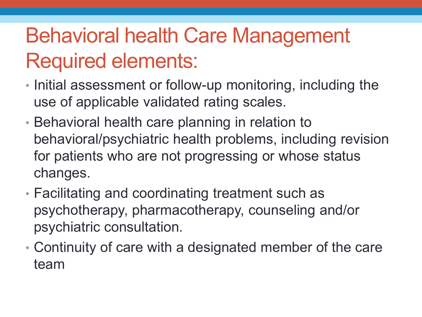### Behavioral health Care Management Required elements:

- Initial assessment or follow-up monitoring, including the use of applicable validated rating scales.
- Behavioral health care planning in relation to behavioral/psychiatric health problems, including revision for patients who are not progressing or whose status changes.
- Facilitating and coordinating treatment such as psychotherapy, pharmacotherapy, counseling and/or psychiatric consultation.
- Continuity of care with a designated member of the care team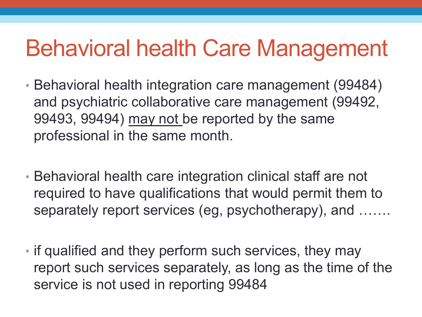## Behavioral health Care Management

- Behavioral health integration care management (99484) and psychiatric collaborative care management (99492, 99493, 99494) may not be reported by the same professional in the same month.
- Behavioral health care integration clinical staff are not required to have qualifications that would permit them to separately report services (eg, psychotherapy), and …….
- if qualified and they perform such services, they may report such services separately, as long as the time of the service is not used in reporting 99484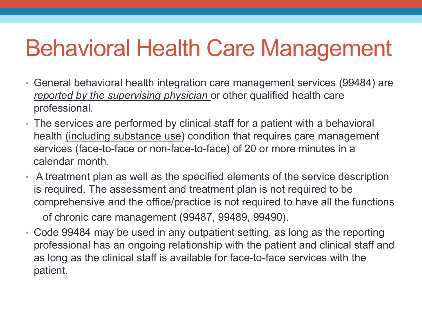# Behavioral Health Care Management

- General behavioral health integration care management services (99484) are *reported by the supervising physician* or other qualified health care professional.
- The services are performed by clinical staff for a patient with a behavioral health (including substance use) condition that requires care management services (face-to-face or non-face-to-face) of 20 or more minutes in a calendar month.
- A treatment plan as well as the specified elements of the service description is required. The assessment and treatment plan is not required to be comprehensive and the office/practice is not required to have all the functions of chronic care management (99487, 99489, 99490).
- Code 99484 may be used in any outpatient setting, as long as the reporting professional has an ongoing relationship with the patient and clinical staff and as long as the clinical staff is available for face-to-face services with the patient.